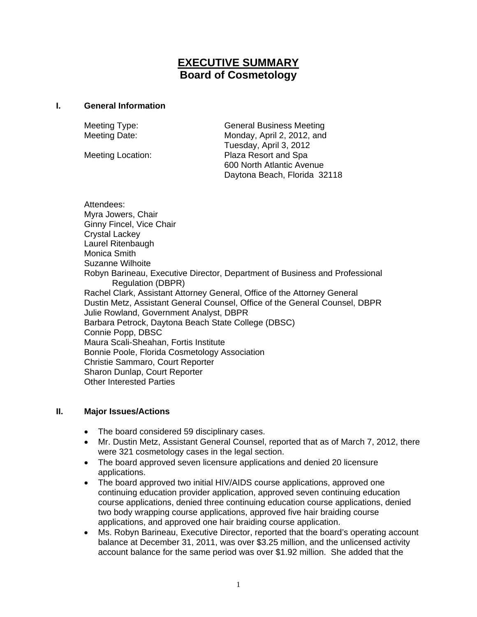# **EXECUTIVE SUMMARY Board of Cosmetology**

#### **I. General Information**

Meeting Type: General Business Meeting Meeting Date: Monday, April 2, 2012, and Tuesday, April 3, 2012 Meeting Location: Plaza Resort and Spa 600 North Atlantic Avenue Daytona Beach, Florida 32118

Attendees: Myra Jowers, Chair Ginny Fincel, Vice Chair Crystal Lackey Laurel Ritenbaugh Monica Smith Suzanne Wilhoite Robyn Barineau, Executive Director, Department of Business and Professional Regulation (DBPR) Rachel Clark, Assistant Attorney General, Office of the Attorney General Dustin Metz, Assistant General Counsel, Office of the General Counsel, DBPR Julie Rowland, Government Analyst, DBPR Barbara Petrock, Daytona Beach State College (DBSC) Connie Popp, DBSC Maura Scali-Sheahan, Fortis Institute Bonnie Poole, Florida Cosmetology Association Christie Sammaro, Court Reporter Sharon Dunlap, Court Reporter Other Interested Parties

### **II. Major Issues/Actions**

- The board considered 59 disciplinary cases.
- Mr. Dustin Metz, Assistant General Counsel, reported that as of March 7, 2012, there were 321 cosmetology cases in the legal section.
- The board approved seven licensure applications and denied 20 licensure applications.
- The board approved two initial HIV/AIDS course applications, approved one continuing education provider application, approved seven continuing education course applications, denied three continuing education course applications, denied two body wrapping course applications, approved five hair braiding course applications, and approved one hair braiding course application.
- Ms. Robyn Barineau, Executive Director, reported that the board's operating account balance at December 31, 2011, was over \$3.25 million, and the unlicensed activity account balance for the same period was over \$1.92 million. She added that the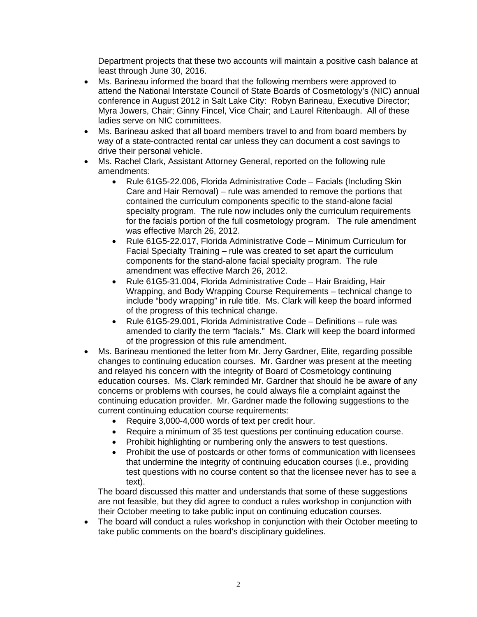Department projects that these two accounts will maintain a positive cash balance at least through June 30, 2016.

- Ms. Barineau informed the board that the following members were approved to attend the National Interstate Council of State Boards of Cosmetology's (NIC) annual conference in August 2012 in Salt Lake City: Robyn Barineau, Executive Director; Myra Jowers, Chair; Ginny Fincel, Vice Chair; and Laurel Ritenbaugh. All of these ladies serve on NIC committees.
- Ms. Barineau asked that all board members travel to and from board members by way of a state-contracted rental car unless they can document a cost savings to drive their personal vehicle.
- Ms. Rachel Clark, Assistant Attorney General, reported on the following rule amendments:
	- Rule 61G5-22.006, Florida Administrative Code Facials (Including Skin Care and Hair Removal) – rule was amended to remove the portions that contained the curriculum components specific to the stand-alone facial specialty program. The rule now includes only the curriculum requirements for the facials portion of the full cosmetology program. The rule amendment was effective March 26, 2012.
	- Rule 61G5-22.017, Florida Administrative Code Minimum Curriculum for Facial Specialty Training – rule was created to set apart the curriculum components for the stand-alone facial specialty program. The rule amendment was effective March 26, 2012.
	- Rule 61G5-31.004, Florida Administrative Code Hair Braiding, Hair Wrapping, and Body Wrapping Course Requirements – technical change to include "body wrapping" in rule title. Ms. Clark will keep the board informed of the progress of this technical change.
	- Rule 61G5-29.001, Florida Administrative Code Definitions rule was amended to clarify the term "facials." Ms. Clark will keep the board informed of the progression of this rule amendment.
- Ms. Barineau mentioned the letter from Mr. Jerry Gardner, Elite, regarding possible changes to continuing education courses. Mr. Gardner was present at the meeting and relayed his concern with the integrity of Board of Cosmetology continuing education courses. Ms. Clark reminded Mr. Gardner that should he be aware of any concerns or problems with courses, he could always file a complaint against the continuing education provider. Mr. Gardner made the following suggestions to the current continuing education course requirements:
	- Require 3,000-4,000 words of text per credit hour.
	- Require a minimum of 35 test questions per continuing education course.<br>• Prohibit highlighting or numbering only the answers to test questions.
	- Prohibit highlighting or numbering only the answers to test questions.
	- Prohibit the use of postcards or other forms of communication with licensees that undermine the integrity of continuing education courses (i.e., providing test questions with no course content so that the licensee never has to see a text).

The board discussed this matter and understands that some of these suggestions are not feasible, but they did agree to conduct a rules workshop in conjunction with their October meeting to take public input on continuing education courses.

 The board will conduct a rules workshop in conjunction with their October meeting to take public comments on the board's disciplinary guidelines.